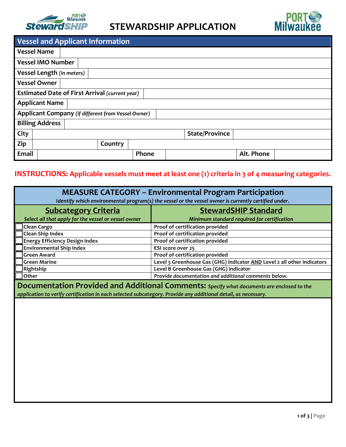

## **STEWARDSHIP APPLICATION**



| <b>Vessel and Applicant Information</b>               |                    |  |         |       |  |                       |            |  |  |
|-------------------------------------------------------|--------------------|--|---------|-------|--|-----------------------|------------|--|--|
|                                                       | <b>Vessel Name</b> |  |         |       |  |                       |            |  |  |
| <b>Vessel IMO Number</b>                              |                    |  |         |       |  |                       |            |  |  |
| <b>Vessel Length (in meters)</b>                      |                    |  |         |       |  |                       |            |  |  |
| <b>Vessel Owner</b>                                   |                    |  |         |       |  |                       |            |  |  |
| <b>Estimated Date of First Arrival (current year)</b> |                    |  |         |       |  |                       |            |  |  |
| <b>Applicant Name</b>                                 |                    |  |         |       |  |                       |            |  |  |
| Applicant Company (if different from Vessel Owner)    |                    |  |         |       |  |                       |            |  |  |
| <b>Billing Address</b>                                |                    |  |         |       |  |                       |            |  |  |
| City                                                  |                    |  |         |       |  | <b>State/Province</b> |            |  |  |
| Zip                                                   |                    |  | Country |       |  |                       |            |  |  |
| Email                                                 |                    |  |         | Phone |  |                       | Alt. Phone |  |  |

## **INSTRUCTIONS: Applicable vessels must meet at least one (1) criteria in 3 of 4 measuring categories.**

| <b>MEASURE CATEGORY - Environmental Program Participation</b>                                                                                                                                                |                                                                         |  |  |  |  |  |
|--------------------------------------------------------------------------------------------------------------------------------------------------------------------------------------------------------------|-------------------------------------------------------------------------|--|--|--|--|--|
| Identify which environmental program(s) the vessel or the vessel owner is currently certified under.                                                                                                         |                                                                         |  |  |  |  |  |
| <b>Subcategory Criteria</b>                                                                                                                                                                                  | <b>StewardSHIP Standard</b>                                             |  |  |  |  |  |
| Select all that apply for the vessel or vessel owner                                                                                                                                                         | Minimum standard required for certification                             |  |  |  |  |  |
| Clean Cargo                                                                                                                                                                                                  | Proof of certification provided                                         |  |  |  |  |  |
| <b>Clean Ship Index</b>                                                                                                                                                                                      | Proof of certification provided                                         |  |  |  |  |  |
| <b>Energy Efficiency Design Index</b>                                                                                                                                                                        | Proof of certification provided                                         |  |  |  |  |  |
| <b>Environmental Ship Index</b>                                                                                                                                                                              | ESI score over 25                                                       |  |  |  |  |  |
| <b>Green Award</b>                                                                                                                                                                                           | Proof of certification provided                                         |  |  |  |  |  |
| <b>Green Marine</b>                                                                                                                                                                                          | Level 3 Greenhouse Gas (GHG) indicator AND Level 2 all other indicators |  |  |  |  |  |
| Rightship                                                                                                                                                                                                    | Level B Greenhouse Gas (GHG) indicator                                  |  |  |  |  |  |
| Other                                                                                                                                                                                                        | Provide documentation and additional comments below.                    |  |  |  |  |  |
| Documentation Provided and Additional Comments: Specify what documents are enclosed to the<br>application to verify certification in each selected subcategory. Provide any additional detail, as necessary. |                                                                         |  |  |  |  |  |
|                                                                                                                                                                                                              |                                                                         |  |  |  |  |  |
|                                                                                                                                                                                                              |                                                                         |  |  |  |  |  |
|                                                                                                                                                                                                              |                                                                         |  |  |  |  |  |
|                                                                                                                                                                                                              |                                                                         |  |  |  |  |  |
|                                                                                                                                                                                                              |                                                                         |  |  |  |  |  |
|                                                                                                                                                                                                              |                                                                         |  |  |  |  |  |
|                                                                                                                                                                                                              |                                                                         |  |  |  |  |  |
|                                                                                                                                                                                                              |                                                                         |  |  |  |  |  |
|                                                                                                                                                                                                              |                                                                         |  |  |  |  |  |
|                                                                                                                                                                                                              |                                                                         |  |  |  |  |  |
|                                                                                                                                                                                                              |                                                                         |  |  |  |  |  |
|                                                                                                                                                                                                              |                                                                         |  |  |  |  |  |
|                                                                                                                                                                                                              |                                                                         |  |  |  |  |  |
|                                                                                                                                                                                                              |                                                                         |  |  |  |  |  |
|                                                                                                                                                                                                              |                                                                         |  |  |  |  |  |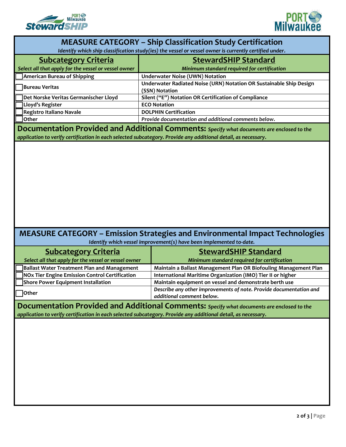



| <b>MEASURE CATEGORY – Ship Classification Study Certification</b>                                                                                                                                            |                                                                                                                                                                                                              |  |  |  |  |  |  |  |
|--------------------------------------------------------------------------------------------------------------------------------------------------------------------------------------------------------------|--------------------------------------------------------------------------------------------------------------------------------------------------------------------------------------------------------------|--|--|--|--|--|--|--|
| Identify which ship classification study(ies) the vessel or vessel owner is currently certified under.                                                                                                       |                                                                                                                                                                                                              |  |  |  |  |  |  |  |
| <b>Subcategory Criteria</b>                                                                                                                                                                                  | <b>StewardSHIP Standard</b>                                                                                                                                                                                  |  |  |  |  |  |  |  |
| Select all that apply for the vessel or vessel owner                                                                                                                                                         | Minimum standard required for certification                                                                                                                                                                  |  |  |  |  |  |  |  |
| <b>American Bureau of Shipping</b>                                                                                                                                                                           | <b>Underwater Noise (UWN) Notation</b>                                                                                                                                                                       |  |  |  |  |  |  |  |
| <b>Bureau Veritas</b>                                                                                                                                                                                        | Underwater Radiated Noise (URN) Notation OR Sustainable Ship Design<br>(SSN) Notation                                                                                                                        |  |  |  |  |  |  |  |
| Det Norske Veritas Germanischer Lloyd                                                                                                                                                                        | Silent ("E") Notation OR Certification of Compliance                                                                                                                                                         |  |  |  |  |  |  |  |
| Lloyd's Register                                                                                                                                                                                             | <b>ECO Notation</b>                                                                                                                                                                                          |  |  |  |  |  |  |  |
| Registro Italiano Navale                                                                                                                                                                                     | <b>DOLPHIN Certification</b>                                                                                                                                                                                 |  |  |  |  |  |  |  |
| Other                                                                                                                                                                                                        | Provide documentation and additional comments below.                                                                                                                                                         |  |  |  |  |  |  |  |
| Documentation Provided and Additional Comments: Specify what documents are enclosed to the<br>application to verify certification in each selected subcategory. Provide any additional detail, as necessary. |                                                                                                                                                                                                              |  |  |  |  |  |  |  |
|                                                                                                                                                                                                              |                                                                                                                                                                                                              |  |  |  |  |  |  |  |
|                                                                                                                                                                                                              |                                                                                                                                                                                                              |  |  |  |  |  |  |  |
|                                                                                                                                                                                                              | <b>MEASURE CATEGORY – Emission Strategies and Environmental Impact Technologies</b><br>Identify which vessel improvement(s) have been implemented to-date.                                                   |  |  |  |  |  |  |  |
|                                                                                                                                                                                                              | <b>StewardSHIP Standard</b>                                                                                                                                                                                  |  |  |  |  |  |  |  |
| <b>Subcategory Criteria</b>                                                                                                                                                                                  | Minimum standard required for certification                                                                                                                                                                  |  |  |  |  |  |  |  |
| Select all that apply for the vessel or vessel owner                                                                                                                                                         |                                                                                                                                                                                                              |  |  |  |  |  |  |  |
| <b>Ballast Water Treatment Plan and Management</b>                                                                                                                                                           | Maintain a Ballast Management Plan OR Biofouling Management Plan                                                                                                                                             |  |  |  |  |  |  |  |
| <b>NOx Tier Engine Emission Control Certification</b><br><b>Shore Power Equipment Installation</b>                                                                                                           | International Maritime Organization (IMO) Tier II or higher<br>Maintain equipment on vessel and demonstrate berth use                                                                                        |  |  |  |  |  |  |  |
| Other                                                                                                                                                                                                        | Describe any other improvements of note. Provide documentation and<br>additional comment below.                                                                                                              |  |  |  |  |  |  |  |
|                                                                                                                                                                                                              | Documentation Provided and Additional Comments: Specify what documents are enclosed to the<br>application to verify certification in each selected subcategory. Provide any additional detail, as necessary. |  |  |  |  |  |  |  |